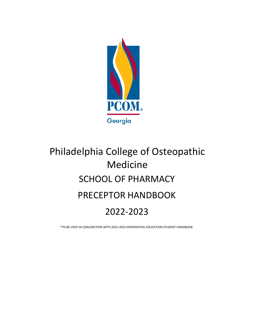

# Philadelphia College of Osteopathic Medicine SCHOOL OF PHARMACY PRECEPTOR HANDBOOK 2022‐2023

\*TO BE USED IN CONJUNCTION WITH 2022‐2023 EXPERIENTIAL EDUCATION STUDENT HANDBOOK.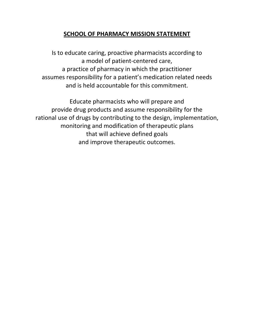# **SCHOOL OF PHARMACY MISSION STATEMENT**

Is to educate caring, proactive pharmacists according to a model of patient‐centered care, a practice of pharmacy in which the practitioner assumes responsibility for a patient's medication related needs and is held accountable for this commitment.

Educate pharmacists who will prepare and provide drug products and assume responsibility for the rational use of drugs by contributing to the design, implementation, monitoring and modification of therapeutic plans that will achieve defined goals and improve therapeutic outcomes.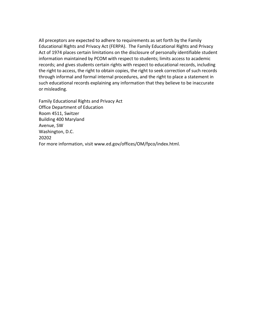All preceptors are expected to adhere to requirements as set forth by the Family Educational Rights and Privacy Act (FERPA). The Family Educational Rights and Privacy Act of 1974 places certain limitations on the disclosure of personally identifiable student information maintained by PCOM with respect to students; limits access to academic records; and gives students certain rights with respect to educational records, including the right to access, the right to obtain copies, the right to seek correction of such records through informal and formal internal procedures, and the right to place a statement in such educational records explaining any information that they believe to be inaccurate or misleading.

Family Educational Rights and Privacy Act Office Department of Education Room 4511, Switzer Building 400 Maryland Avenue, SW Washington, D.C. 20202 For more information, visit www.ed.gov/offices/OM/fpco/index.html.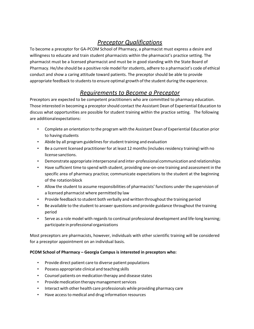# *Preceptor Qualifications*

To become a preceptor for GA‐PCOM School of Pharmacy, a pharmacist must express a desire and willingness to educate and train student pharmacists within the pharmacist's practice setting. The pharmacist must be a licensed pharmacist and must be in good standing with the State Board of Pharmacy. He/she should be a positive role model for students, adhere to a pharmacist's code of ethical conduct and show a caring attitude toward patients. The preceptor should be able to provide appropriate feedback to students to ensure optimal growth of the student during the experience.

# *Requirements to Become a Preceptor*

Preceptors are expected to be competent practitioners who are committed to pharmacy education. Those interested in becoming a preceptorshould contact the Assistant Dean of Experiential Education to discuss what opportunities are possible for student training within the practice setting. The following are additionalexpectations:

- Complete an orientation to the program with the Assistant Dean of Experiential Education prior to having students
- Abide by all program guidelines for student training and evaluation
- Be a current licensed practitioner for at least 12 months (includes residency training) with no license sanctions.
- Demonstrate appropriate interpersonal and inter-professional communication and relationships
- Have sufficient time to spend with student, providing one‐on‐one training and assessment in the specific area of pharmacy practice; communicate expectations to the student at the beginning of the rotationblock
- Allow the student to assume responsibilities of pharmacists' functions under the supervision of a licensed pharmacist where permitted by law
- Provide feedback to student both verbally and written throughout the training period
- Be available to the student to answer questions and provide guidance throughout the training period
- Serve as a role model with regards to continual professional development and life-long learning; participate in professional organizations

Most preceptors are pharmacists, however, individuals with other scientific training will be considered for a preceptor appointment on an individual basis.

#### **PCOM School of Pharmacy – Georgia Campus is interested in preceptors who:**

- Provide direct patient care to diverse patient populations
- Possess appropriate clinical and teaching skills
- Counsel patients on medication therapy and disease states
- Provide medication therapy management services
- Interact with other health care professionals while providing pharmacy care
- Have accessto medical and drug information resources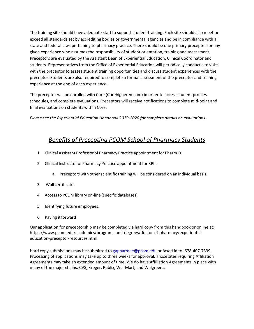The training site should have adequate staff to support student training. Each site should also meet or exceed all standards set by accrediting bodies or governmental agencies and be in compliance with all state and federal laws pertaining to pharmacy practice. There should be one primary preceptor for any given experience who assumes the responsibility of student orientation, training and assessment. Preceptors are evaluated by the Assistant Dean of Experiential Education, Clinical Coordinator and students. Representatives from the Office of Experiential Education will periodically conduct site visits with the preceptor to assess student training opportunities and discuss student experiences with the preceptor. Students are also required to complete a formal assessment of the preceptor and training experience at the end of each experience.

The preceptor will be enrolled with Core (Corehighered.com) in order to access student profiles, schedules, and complete evaluations. Preceptors will receive notifications to complete mid‐point and final evaluations on students within Core.

*Please see the Experiential Education Handbook 2019‐2020 for complete details on evaluations.*

# *Benefits of Precepting PCOM School of Pharmacy Students*

- 1. Clinical Assistant Professor of Pharmacy Practice appointment for Pharm.D.
- 2. Clinical Instructor of Pharmacy Practice appointment for RPh.
	- a. Preceptors with other scientific training will be considered on an individual basis.
- 3. Wall certificate.
- 4. Accessto PCOM library on‐line (specific databases).
- 5. Identifying future employees.
- 6. Paying itforward

Our application for preceptorship may be completed via hard copy from this handbook or online at: https://www.pcom.edu/academics/programs‐and‐degrees/doctor‐of‐pharmacy/experiential‐ education‐preceptor‐resources.html

Hard copy submissions may be submitted to gapharmee@pcom.edu or faxed in to: 678-407-7339. Processing of applications may take up to three weeks for approval. Those sites requiring Affiliation Agreements may take an extended amount of time. We do have Affiliation Agreements in place with many of the major chains; CVS, Kroger, Publix, Wal‐Mart, and Walgreens.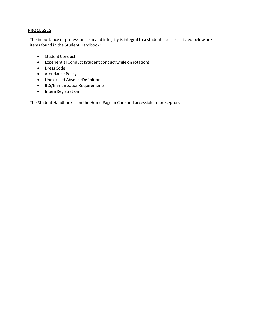## **PROCESSES**

The importance of professionalism and integrity is integral to a student's success. Listed below are items found in the Student Handbook:

- Student Conduct
- Experiential Conduct (Student conduct while on rotation)
- Dress Code
- Atendance Policy
- Unexcused AbsenceDefinition
- BLS/ImmunizationRequirements
- Intern Registration

The Student Handbook is on the Home Page in Core and accessible to preceptors.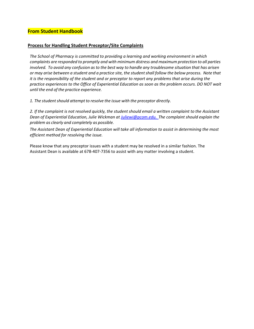#### **Process for Handling Student Preceptor/Site Complaints**

*The School of Pharmacy is committed to providing a learning and working environment in which complaints are responded to promptly and with minimum distress and maximum protection to all parties* involved. To avoid any confusion as to the best way to handle any troublesome situation that has arisen or may arise between a student and a practice site, the student shall follow the below process. Note that it is the responsibility of the student and or preceptor to report any problems that arise during the *practice experiences to the Office of Experiential Education as soon as the problem occurs. DO NOT wait until the end of the practice experience.*

*1. The studentshould attempt to resolve the issue with the preceptor directly.*

2. If the complaint is not resolved quickly, the student should email a written complaint to the Assistant *Dean of Experiential Education, Julie Wickman at Juliewi@pcom.edu. The complaint should explain the problem as clearly and completely as possible.*

*The Assistant Dean of Experiential Education will take all information to assist in determining the most efficient method for resolving the issue.*

Please know that any preceptor issues with a student may be resolved in a similar fashion. The Assistant Dean is available at 678‐407‐7356 to assist with any matter involving a student.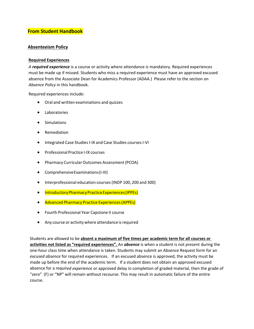#### **Absenteeism Policy**

#### **Required Experiences**

*A required experience* is a course or activity where attendance is mandatory. Required experiences must be made up if missed. Students who miss a required experience must have an approved excused absence from the Associate Dean for Academics Professor (ADAA.) Please refer to the section on *Absence Policy* in this handbook.

Required experiences include:

- Oral and written examinations and quizzes
- Laboratories
- **•** Simulations
- Remediation
- Integrated Case Studies I-IX and Case Studies courses I-VI
- Professional Practice I‐IX courses
- Pharmacy Curricular Outcomes Assessment (PCOA)
- Comprehensive Examinations (I-III)
- Interprofessional education courses(INDP 100, 200 and 300)
- **•** Introductory Pharmacy Practice Experiences (IPPEs)
- Advanced Pharmacy Practice Experiences(APPEs)
- Fourth Professional Year Capstone II course
- Any course or activity where attendance is required

Students are allowed to be **absent a maximum of five times per academic term for all courses or activities not listed as "required experiences".** An *absence* is when a student is not present during the one‐hour class time when attendance is taken. Students may submit an Absence Request form for an *excused absence* for required experiences. If an excused absence is approved, the activity must be made up before the end of the academic term. If a student does not obtain an approved excused absence for a *required experience* or approved delay in completion of graded material, then the grade of "zero" (F) or "NP" will remain without recourse. This may result in automatic failure of the entire course.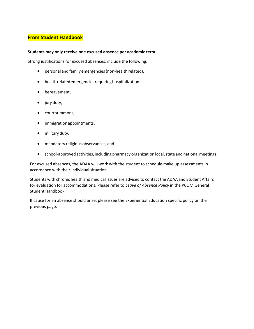#### **Students may only receive one excused absence per academic term.**

Strong justifications for excused absences, include the following:

- personal and family emergencies (non-health related),
- healthrelatedemergenciesrequiringhospitalization
- bereavement,
- jury duty,
- courtsummons,
- immigrationappointments,
- military duty,
- mandatory religious observances, and
- school-approved activities, including pharmacy organization local, state and national meetings.

For excused absences, the ADAA will work with the student to schedule make up assessments in accordance with their individual situation.

Students with chronic health and medical issues are advised to contact the ADAA and Student Affairs for evaluation for accommodations. Please refer to *Leave of Absence Policy* in the PCOM General Student Handbook.

If cause for an absence should arise, please see the Experiential Education specific policy on the previous page.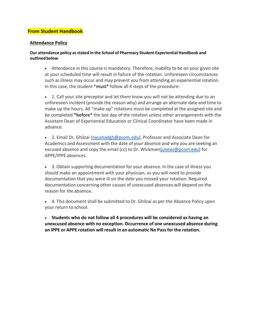#### **Attendance Policy**

#### **Our attendance policy asstated in the School of Pharmacy Student Experiential Handbook and outlined below**

 Attendance in this course is mandatory. Therefore, inability to be on your given site at your scheduled time will result in failure of the rotation. Unforeseen circumstances such asillness may occur and may prevent you from attending an experiential rotation. In this case, the student \***must\*** follow all 4 steps of the procedure:

 1. Call your site preceptor and let them know you will not be attending due to an unforeseen incident (provide the reason why) and arrange an alternate date and time to make up the hours. All "make up" rotations must be completed at the assigned site and be completed **\*before\*** the last day of the rotation unless other arrangements with the Assistant Dean of Experiential Education or Clinical Coordinator have been made in advance.

• 2. Email Dr. Ghilzai (naushadgh@pcom.edu), Professor and Associate Dean for Academics and Assessment with the date of your absence and why you are seeking an excused absence and copy the email (cc) to Dr. Wickman(juliewi@pcom.edu) for APPE/IPPE absences.

 3. Obtain supporting documentation for your absence. In the case of illness you should make an appointment with your physician, as you will need to provide documentation that you were ill on the date you missed your rotation. Required documentation concerning other causes of unexcused absences will depend on the reason for the absence.

 4. This document shall be submitted to Dr. Ghilzai as per the Absence Policy upon your return to school.

 **Students who do not follow all 4 procedures will be considered as having an unexcused absence with no exception. Occurrence of one unexcused absence during an IPPE or APPE rotation will result in an automatic No Passfor the rotation.**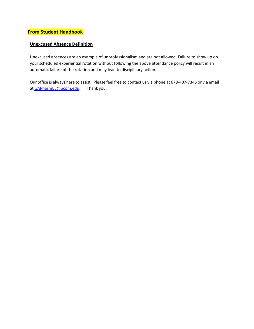## **Unexcused Absence Definition**

Unexcused absences are an example of unprofessionalism and are not allowed. Failure to show up on your scheduled experiential rotation without following the above attendance policy will result in an automatic failure of the rotation and may lead to disciplinary action.

Our office is always here to assist. Please feel free to contact us via phone at 678‐407‐7345 or via email at GAPharmEE@pcom.edu. Thank you.